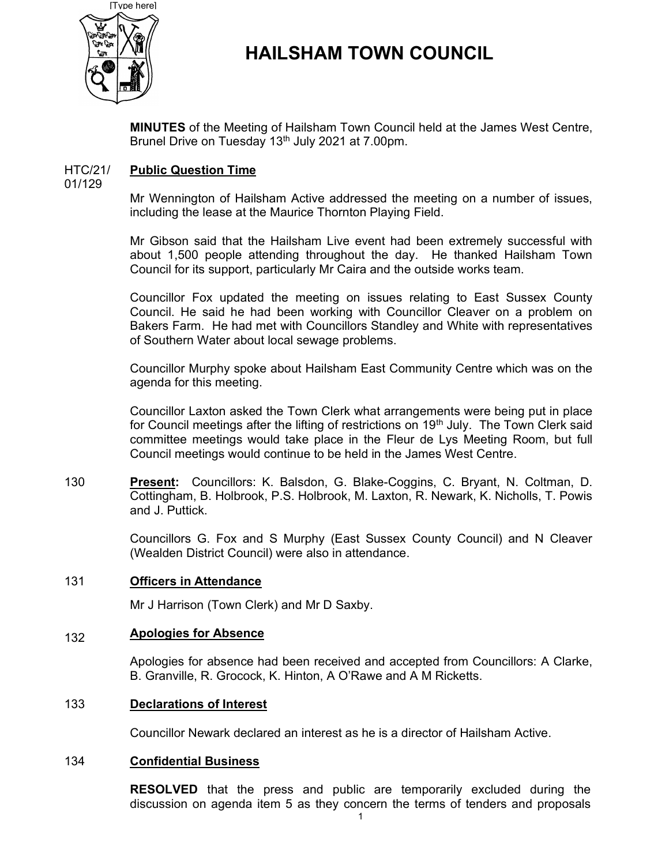

# HAILSHAM TOWN COUNCIL

MINUTES of the Meeting of Hailsham Town Council held at the James West Centre, Brunel Drive on Tuesday 13<sup>th</sup> July 2021 at 7.00pm.

#### HTC/21/ Public Question Time

01/129

Mr Wennington of Hailsham Active addressed the meeting on a number of issues, including the lease at the Maurice Thornton Playing Field.

Mr Gibson said that the Hailsham Live event had been extremely successful with about 1,500 people attending throughout the day. He thanked Hailsham Town Council for its support, particularly Mr Caira and the outside works team.

Councillor Fox updated the meeting on issues relating to East Sussex County Council. He said he had been working with Councillor Cleaver on a problem on Bakers Farm. He had met with Councillors Standley and White with representatives of Southern Water about local sewage problems.

Councillor Murphy spoke about Hailsham East Community Centre which was on the agenda for this meeting.

Councillor Laxton asked the Town Clerk what arrangements were being put in place for Council meetings after the lifting of restrictions on 19<sup>th</sup> July. The Town Clerk said committee meetings would take place in the Fleur de Lys Meeting Room, but full Council meetings would continue to be held in the James West Centre.

130 Present: Councillors: K. Balsdon, G. Blake-Coggins, C. Bryant, N. Coltman, D. Cottingham, B. Holbrook, P.S. Holbrook, M. Laxton, R. Newark, K. Nicholls, T. Powis and J. Puttick.

> Councillors G. Fox and S Murphy (East Sussex County Council) and N Cleaver (Wealden District Council) were also in attendance.

#### 131 Officers in Attendance

Mr J Harrison (Town Clerk) and Mr D Saxby.

#### 132 Apologies for Absence

Apologies for absence had been received and accepted from Councillors: A Clarke, B. Granville, R. Grocock, K. Hinton, A O'Rawe and A M Ricketts.

### 133 Declarations of Interest

Councillor Newark declared an interest as he is a director of Hailsham Active.

# 134 Confidential Business

RESOLVED that the press and public are temporarily excluded during the discussion on agenda item 5 as they concern the terms of tenders and proposals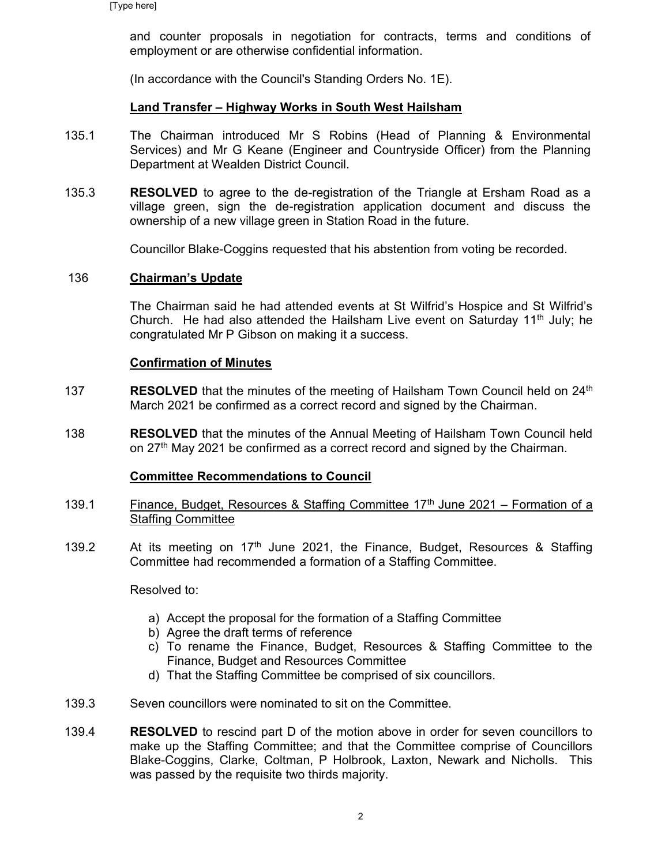and counter proposals in negotiation for contracts, terms and conditions of employment or are otherwise confidential information.

(In accordance with the Council's Standing Orders No. 1E).

# Land Transfer – Highway Works in South West Hailsham

- 135.1 The Chairman introduced Mr S Robins (Head of Planning & Environmental Services) and Mr G Keane (Engineer and Countryside Officer) from the Planning Department at Wealden District Council.
- 135.3 RESOLVED to agree to the de-registration of the Triangle at Ersham Road as a village green, sign the de-registration application document and discuss the ownership of a new village green in Station Road in the future.

Councillor Blake-Coggins requested that his abstention from voting be recorded.

### 136 Chairman's Update

The Chairman said he had attended events at St Wilfrid's Hospice and St Wilfrid's Church. He had also attended the Hailsham Live event on Saturday  $11<sup>th</sup>$  July; he congratulated Mr P Gibson on making it a success.

# Confirmation of Minutes

- 137 **RESOLVED** that the minutes of the meeting of Hailsham Town Council held on  $24<sup>th</sup>$ March 2021 be confirmed as a correct record and signed by the Chairman.
- 138 RESOLVED that the minutes of the Annual Meeting of Hailsham Town Council held on 27<sup>th</sup> May 2021 be confirmed as a correct record and signed by the Chairman.

### Committee Recommendations to Council

- 139.1 Finance, Budget, Resources & Staffing Committee 17<sup>th</sup> June 2021 – Formation of a Staffing Committee
- 139.2 At its meeting on  $17<sup>th</sup>$  June 2021, the Finance, Budget, Resources & Staffing Committee had recommended a formation of a Staffing Committee.

Resolved to:

- a) Accept the proposal for the formation of a Staffing Committee
- b) Agree the draft terms of reference
- c) To rename the Finance, Budget, Resources & Staffing Committee to the Finance, Budget and Resources Committee
- d) That the Staffing Committee be comprised of six councillors.
- 139.3 Seven councillors were nominated to sit on the Committee.
- 139.4 RESOLVED to rescind part D of the motion above in order for seven councillors to make up the Staffing Committee; and that the Committee comprise of Councillors Blake-Coggins, Clarke, Coltman, P Holbrook, Laxton, Newark and Nicholls. This was passed by the requisite two thirds majority.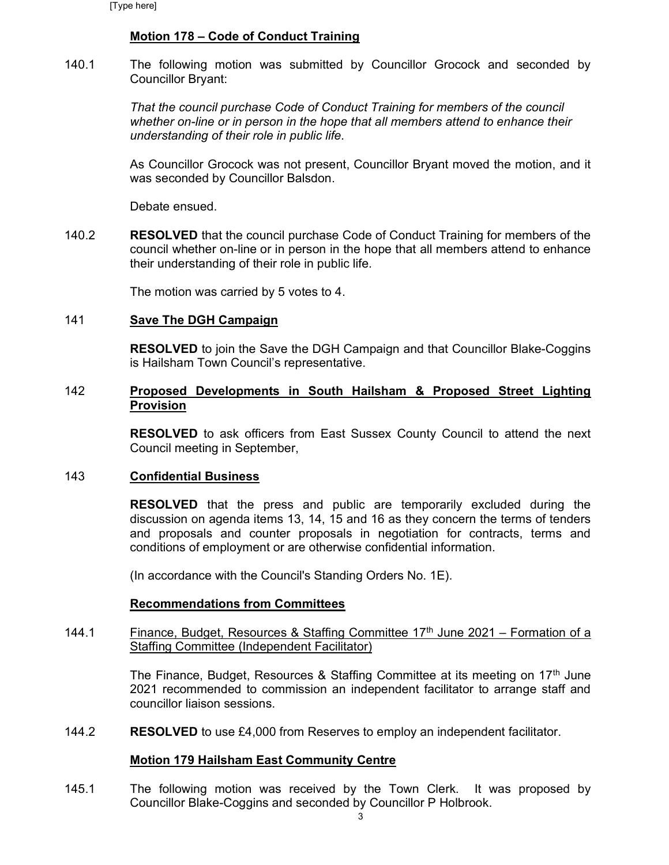# Motion 178 – Code of Conduct Training

140.1 The following motion was submitted by Councillor Grocock and seconded by Councillor Bryant:

> That the council purchase Code of Conduct Training for members of the council whether on-line or in person in the hope that all members attend to enhance their understanding of their role in public life.

As Councillor Grocock was not present, Councillor Bryant moved the motion, and it was seconded by Councillor Balsdon.

Debate ensued.

140.2 RESOLVED that the council purchase Code of Conduct Training for members of the council whether on-line or in person in the hope that all members attend to enhance their understanding of their role in public life.

The motion was carried by 5 votes to 4.

# 141 Save The DGH Campaign

RESOLVED to join the Save the DGH Campaign and that Councillor Blake-Coggins is Hailsham Town Council's representative.

# 142 Proposed Developments in South Hailsham & Proposed Street Lighting Provision

RESOLVED to ask officers from East Sussex County Council to attend the next Council meeting in September,

#### 143 Confidential Business

RESOLVED that the press and public are temporarily excluded during the discussion on agenda items 13, 14, 15 and 16 as they concern the terms of tenders and proposals and counter proposals in negotiation for contracts, terms and conditions of employment or are otherwise confidential information.

(In accordance with the Council's Standing Orders No. 1E).

#### Recommendations from Committees

144.1 Finance, Budget, Resources & Staffing Committee  $17<sup>th</sup>$  June 2021 – Formation of a Staffing Committee (Independent Facilitator)

> The Finance, Budget, Resources & Staffing Committee at its meeting on 17<sup>th</sup> June 2021 recommended to commission an independent facilitator to arrange staff and councillor liaison sessions.

144.2 RESOLVED to use £4,000 from Reserves to employ an independent facilitator.

### Motion 179 Hailsham East Community Centre

145.1 The following motion was received by the Town Clerk. It was proposed by Councillor Blake-Coggins and seconded by Councillor P Holbrook.